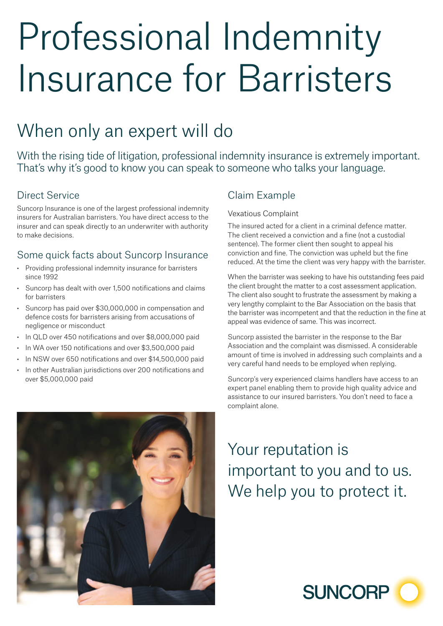# Professional Indemnity Insurance for Barristers

# When only an expert will do

With the rising tide of litigation, professional indemnity insurance is extremely important. That's why it's good to know you can speak to someone who talks your language.

#### Direct Service

Suncorp Insurance is one of the largest professional indemnity insurers for Australian barristers. You have direct access to the insurer and can speak directly to an underwriter with authority to make decisions.

#### Some quick facts about Suncorp Insurance

- Providing professional indemnity insurance for barristers since 1992
- Suncorp has dealt with over 1,500 notifications and claims for barristers
- Suncorp has paid over \$30,000,000 in compensation and defence costs for barristers arising from accusations of negligence or misconduct
- In QLD over 450 notifications and over \$8,000,000 paid
- In WA over 150 notifications and over \$3,500,000 paid
- In NSW over 650 notifications and over \$14,500,000 paid
- In other Australian jurisdictions over 200 notifications and over \$5,000,000 paid

## Claim Example

#### Vexatious Complaint

The insured acted for a client in a criminal defence matter. The client received a conviction and a fine (not a custodial sentence). The former client then sought to appeal his conviction and fine. The conviction was upheld but the fine reduced. At the time the client was very happy with the barrister.

When the barrister was seeking to have his outstanding fees paid the client brought the matter to a cost assessment application. The client also sought to frustrate the assessment by making a very lengthy complaint to the Bar Association on the basis that the barrister was incompetent and that the reduction in the fine at appeal was evidence of same. This was incorrect.

Suncorp assisted the barrister in the response to the Bar Association and the complaint was dismissed. A considerable amount of time is involved in addressing such complaints and a very careful hand needs to be employed when replying.

Suncorp's very experienced claims handlers have access to an expert panel enabling them to provide high quality advice and assistance to our insured barristers. You don't need to face a complaint alone.



Your reputation is important to you and to us. We help you to protect it.